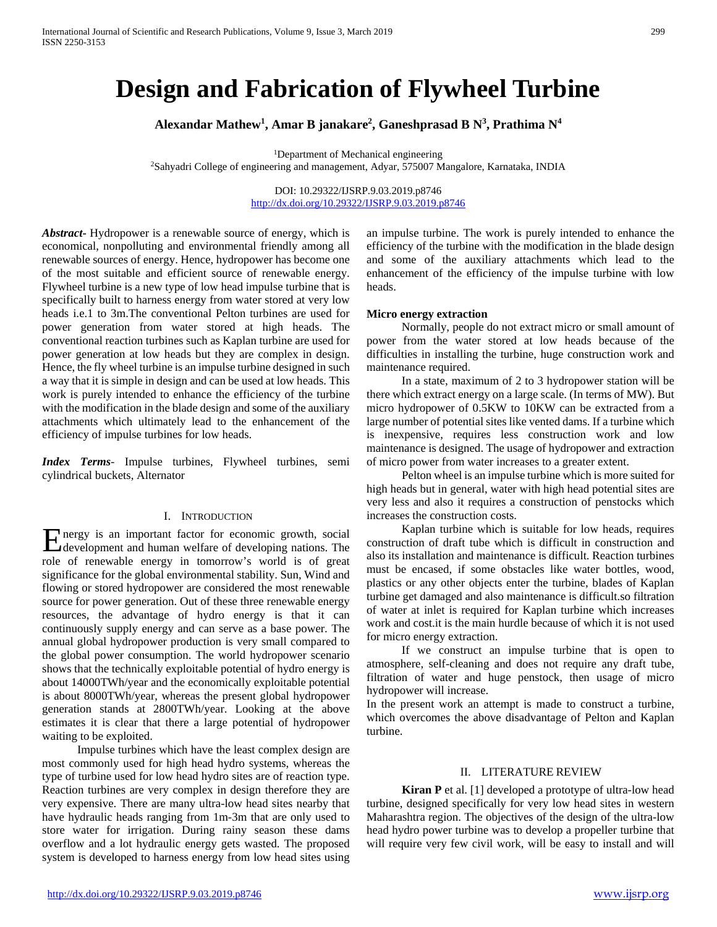# **Design and Fabrication of Flywheel Turbine**

**Alexandar Mathew1 , Amar B janakare2 , Ganeshprasad B N3 , Prathima N4**

<sup>1</sup>Department of Mechanical engineering<br><sup>2</sup>Sahyadri College of engineering and management, Adyar, 575007 Mangalore, Karnataka, INDIA

DOI: 10.29322/IJSRP.9.03.2019.p8746 <http://dx.doi.org/10.29322/IJSRP.9.03.2019.p8746>

*Abstract***-** Hydropower is a renewable source of energy, which is economical, nonpolluting and environmental friendly among all renewable sources of energy. Hence, hydropower has become one of the most suitable and efficient source of renewable energy. Flywheel turbine is a new type of low head impulse turbine that is specifically built to harness energy from water stored at very low heads i.e.1 to 3m.The conventional Pelton turbines are used for power generation from water stored at high heads. The conventional reaction turbines such as Kaplan turbine are used for power generation at low heads but they are complex in design. Hence, the fly wheel turbine is an impulse turbine designed in such a way that it is simple in design and can be used at low heads. This work is purely intended to enhance the efficiency of the turbine with the modification in the blade design and some of the auxiliary attachments which ultimately lead to the enhancement of the efficiency of impulse turbines for low heads.

*Index Terms*- Impulse turbines, Flywheel turbines, semi cylindrical buckets, Alternator

## I. INTRODUCTION

nergy is an important factor for economic growth, social Energy is an important factor for economic growth, social development and human welfare of developing nations. The role of renewable energy in tomorrow's world is of great significance for the global environmental stability. Sun, Wind and flowing or stored hydropower are considered the most renewable source for power generation. Out of these three renewable energy resources, the advantage of hydro energy is that it can continuously supply energy and can serve as a base power. The annual global hydropower production is very small compared to the global power consumption. The world hydropower scenario shows that the technically exploitable potential of hydro energy is about 14000TWh/year and the economically exploitable potential is about 8000TWh/year, whereas the present global hydropower generation stands at 2800TWh/year. Looking at the above estimates it is clear that there a large potential of hydropower waiting to be exploited.

 Impulse turbines which have the least complex design are most commonly used for high head hydro systems, whereas the type of turbine used for low head hydro sites are of reaction type. Reaction turbines are very complex in design therefore they are very expensive. There are many ultra-low head sites nearby that have hydraulic heads ranging from 1m-3m that are only used to store water for irrigation. During rainy season these dams overflow and a lot hydraulic energy gets wasted. The proposed system is developed to harness energy from low head sites using an impulse turbine. The work is purely intended to enhance the efficiency of the turbine with the modification in the blade design and some of the auxiliary attachments which lead to the enhancement of the efficiency of the impulse turbine with low heads.

#### **Micro energy extraction**

 Normally, people do not extract micro or small amount of power from the water stored at low heads because of the difficulties in installing the turbine, huge construction work and maintenance required.

 In a state, maximum of 2 to 3 hydropower station will be there which extract energy on a large scale. (In terms of MW). But micro hydropower of 0.5KW to 10KW can be extracted from a large number of potential sites like vented dams. If a turbine which is inexpensive, requires less construction work and low maintenance is designed. The usage of hydropower and extraction of micro power from water increases to a greater extent.

 Pelton wheel is an impulse turbine which is more suited for high heads but in general, water with high head potential sites are very less and also it requires a construction of penstocks which increases the construction costs.

 Kaplan turbine which is suitable for low heads, requires construction of draft tube which is difficult in construction and also its installation and maintenance is difficult. Reaction turbines must be encased, if some obstacles like water bottles, wood, plastics or any other objects enter the turbine, blades of Kaplan turbine get damaged and also maintenance is difficult.so filtration of water at inlet is required for Kaplan turbine which increases work and cost.it is the main hurdle because of which it is not used for micro energy extraction.

 If we construct an impulse turbine that is open to atmosphere, self-cleaning and does not require any draft tube, filtration of water and huge penstock, then usage of micro hydropower will increase.

In the present work an attempt is made to construct a turbine, which overcomes the above disadvantage of Pelton and Kaplan turbine.

## II. LITERATURE REVIEW

 **Kiran P** et al. [1] developed a prototype of ultra-low head turbine, designed specifically for very low head sites in western Maharashtra region. The objectives of the design of the ultra-low head hydro power turbine was to develop a propeller turbine that will require very few civil work, will be easy to install and will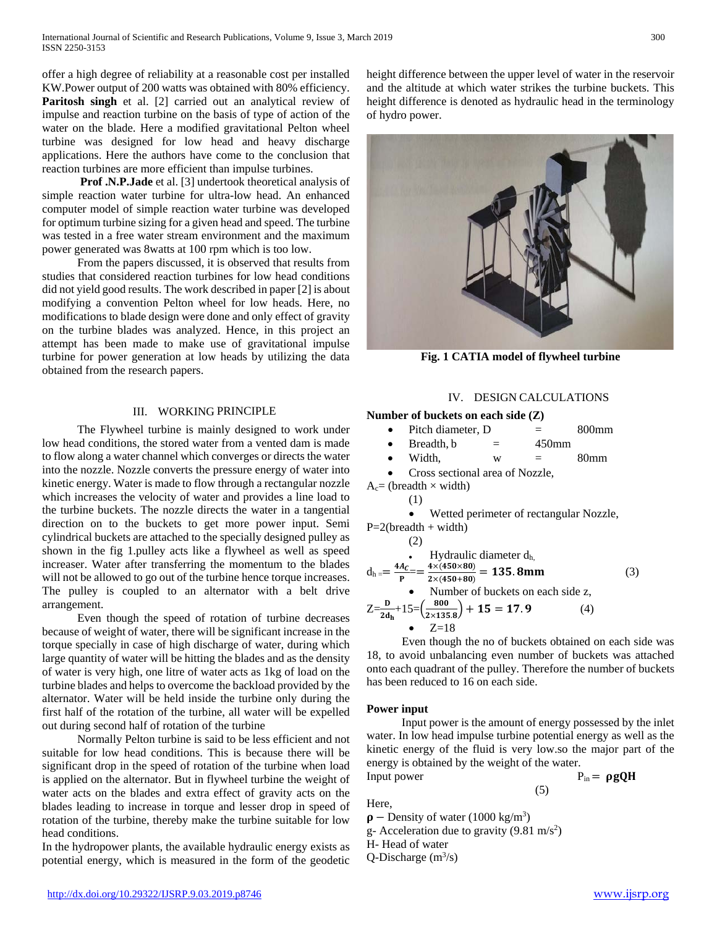offer a high degree of reliability at a reasonable cost per installed KW.Power output of 200 watts was obtained with 80% efficiency. **Paritosh singh** et al. [2] carried out an analytical review of impulse and reaction turbine on the basis of type of action of the water on the blade. Here a modified gravitational Pelton wheel turbine was designed for low head and heavy discharge applications. Here the authors have come to the conclusion that reaction turbines are more efficient than impulse turbines.

 **Prof .N.P.Jade** et al. [3] undertook theoretical analysis of simple reaction water turbine for ultra-low head. An enhanced computer model of simple reaction water turbine was developed for optimum turbine sizing for a given head and speed. The turbine was tested in a free water stream environment and the maximum power generated was 8watts at 100 rpm which is too low.

 From the papers discussed, it is observed that results from studies that considered reaction turbines for low head conditions did not yield good results. The work described in paper [2] is about modifying a convention Pelton wheel for low heads. Here, no modifications to blade design were done and only effect of gravity on the turbine blades was analyzed. Hence, in this project an attempt has been made to make use of gravitational impulse turbine for power generation at low heads by utilizing the data obtained from the research papers.

## III. WORKING PRINCIPLE

 The Flywheel turbine is mainly designed to work under low head conditions, the stored water from a vented dam is made to flow along a water channel which converges or directs the water into the nozzle. Nozzle converts the pressure energy of water into kinetic energy. Water is made to flow through a rectangular nozzle which increases the velocity of water and provides a line load to the turbine buckets. The nozzle directs the water in a tangential direction on to the buckets to get more power input. Semi cylindrical buckets are attached to the specially designed pulley as shown in the fig 1.pulley acts like a flywheel as well as speed increaser. Water after transferring the momentum to the blades will not be allowed to go out of the turbine hence torque increases. The pulley is coupled to an alternator with a belt drive arrangement.

 Even though the speed of rotation of turbine decreases because of weight of water, there will be significant increase in the torque specially in case of high discharge of water, during which large quantity of water will be hitting the blades and as the density of water is very high, one litre of water acts as 1kg of load on the turbine blades and helps to overcome the backload provided by the alternator. Water will be held inside the turbine only during the first half of the rotation of the turbine, all water will be expelled out during second half of rotation of the turbine

 Normally Pelton turbine is said to be less efficient and not suitable for low head conditions. This is because there will be significant drop in the speed of rotation of the turbine when load is applied on the alternator. But in flywheel turbine the weight of water acts on the blades and extra effect of gravity acts on the blades leading to increase in torque and lesser drop in speed of rotation of the turbine, thereby make the turbine suitable for low head conditions.

In the hydropower plants, the available hydraulic energy exists as potential energy, which is measured in the form of the geodetic

height difference between the upper level of water in the reservoir and the altitude at which water strikes the turbine buckets. This height difference is denoted as hydraulic head in the terminology of hydro power.



**Fig. 1 CATIA model of flywheel turbine**

## IV. DESIGN CALCULATIONS

## **Number of buckets on each side (Z)**

|  | Pitch diameter, D. |  | $800$ mm |
|--|--------------------|--|----------|
|--|--------------------|--|----------|

- $\text{Breadth, b} = 450 \text{mm}$
- Width,  $w = 80$ mm
- Cross sectional area of Nozzle,

 $A<sub>c</sub>$  (breadth  $\times$  width)

$$
(1)
$$

• Wetted perimeter of rectangular Nozzle,

P=2(breadth + width)  
\n(2)  
\n  
\n- Hydraulic diameter d<sub>h</sub>  
\n
$$
d_{h} = \frac{4A_{c}}{P} = \frac{4 \times (450 \times 80)}{2 \times (450 + 80)} = 135.8 \text{mm}
$$
\n(3)  
\n- Number of buckets on each side z,  
\n
$$
Z = \frac{D}{2d_{h}} + 15 = (\frac{800}{2 \times 135.8}) + 15 = 17.9
$$

$$
\frac{B}{2d_h} + 15 = \left(\frac{800}{2 \times 135.8}\right) + 15 = 17.9
$$
  
•  $Z = 18$ 

 Even though the no of buckets obtained on each side was 18, to avoid unbalancing even number of buckets was attached onto each quadrant of the pulley. Therefore the number of buckets has been reduced to 16 on each side.

## **Power input**

 Input power is the amount of energy possessed by the inlet water. In low head impulse turbine potential energy as well as the kinetic energy of the fluid is very low.so the major part of the energy is obtained by the weight of the water. Input power  $P_{in} = \rho g Q H$ 

(5)

Here,

- $\rho$  Density of water (1000 kg/m<sup>3</sup>)
- g- Acceleration due to gravity  $(9.81 \text{ m/s}^2)$

H- Head of water

Q-Discharge  $(m^3/s)$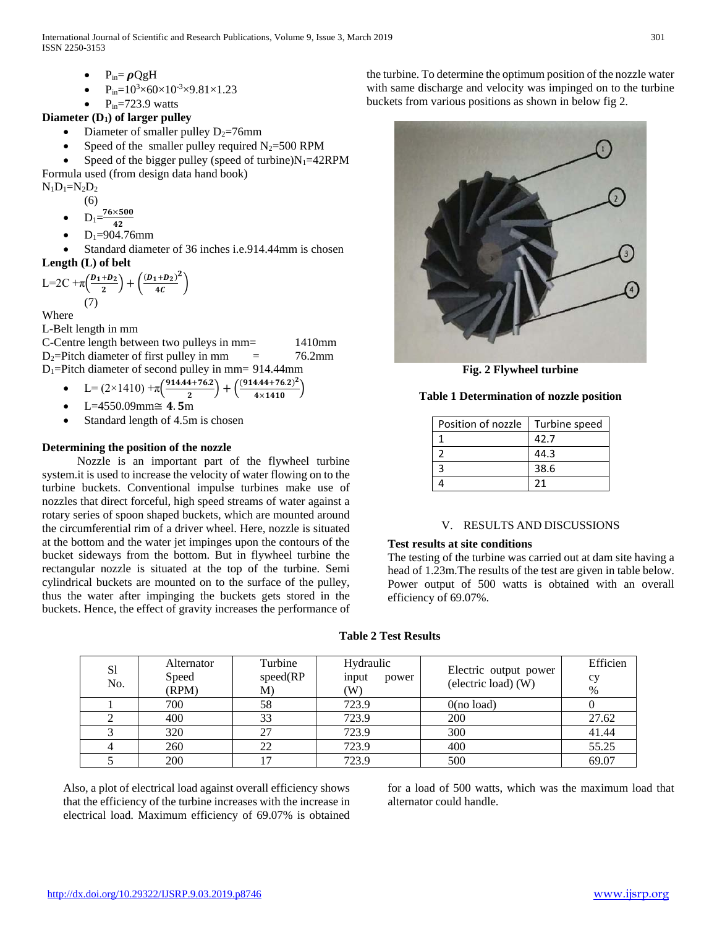International Journal of Scientific and Research Publications, Volume 9, Issue 3, March 2019 301 ISSN 2250-3153

- $P_{in} = \rho QgH$
- $P_{in} = 10^3 \times 60 \times 10^{-3} \times 9.81 \times 1.23$
- $P_{in} = 723.9$  watts

## **Diameter (D1) of larger pulley**

- Diameter of smaller pulley  $D_2=76$ mm
	- Speed of the smaller pulley required  $N_2$ =500 RPM
- Speed of the bigger pulley (speed of turbine) $N_1$ =42RPM Formula used (from design data hand book)

 $N_1D_1=N_2D_2$ 

(6)

- $D_1 = \frac{76 \times}{4}$
- $42$
- $D_1 = 904.76$ mm

Standard diameter of 36 inches i.e.914.44mm is chosen **Length (L) of belt**

$$
L=2C+\pi\left(\frac{D_1+D_2}{2}\right)+\left(\frac{(D_1+D_2)^2}{4C}\right)
$$
  
(7)

Where

L-Belt length in mm

C-Centre length between two pulleys in mm= 1410mm  $D_2$ =Pitch diameter of first pulley in mm = 76.2mm  $D_1$ =Pitch diameter of second pulley in mm= 914.44mm

• 
$$
L = (2 \times 1410) + \pi \left( \frac{914.44 + 76.2}{2} \right) + \left( \frac{(914.44 + 76.2)^2}{4 \times 1410} \right)
$$

 $L = 4550.09$ mm $\cong$  4.5m

Standard length of 4.5m is chosen

## **Determining the position of the nozzle**

 Nozzle is an important part of the flywheel turbine system.it is used to increase the velocity of water flowing on to the turbine buckets. Conventional impulse turbines make use of nozzles that direct forceful, high speed streams of water against a rotary series of spoon shaped buckets, which are mounted around the circumferential rim of a driver wheel. Here, nozzle is situated at the bottom and the water jet impinges upon the contours of the bucket sideways from the bottom. But in flywheel turbine the rectangular nozzle is situated at the top of the turbine. Semi cylindrical buckets are mounted on to the surface of the pulley, thus the water after impinging the buckets gets stored in the buckets. Hence, the effect of gravity increases the performance of the turbine. To determine the optimum position of the nozzle water with same discharge and velocity was impinged on to the turbine buckets from various positions as shown in below fig 2.



**Fig. 2 Flywheel turbine**

## **Table 1 Determination of nozzle position**

| Position of nozzle | Turbine speed |  |
|--------------------|---------------|--|
|                    | 42.7          |  |
|                    | 44.3          |  |
|                    | 38.6          |  |
|                    | 21            |  |

## V. RESULTS AND DISCUSSIONS

## **Test results at site conditions**

The testing of the turbine was carried out at dam site having a head of 1.23m.The results of the test are given in table below. Power output of 500 watts is obtained with an overall efficiency of 69.07%.

## **Table 2 Test Results**

| S1<br>No. | Alternator<br>Speed<br>(RPM) | Turbine<br>speed(RP)<br>M) | Hydraulic<br>input<br>power<br>$\left( \mathrm{W}\right)$ | Electric output power<br>(electric load) (W) | Efficien<br>CV<br>% |
|-----------|------------------------------|----------------------------|-----------------------------------------------------------|----------------------------------------------|---------------------|
|           | 700                          | 58                         | 723.9                                                     | 0(no load)                                   |                     |
|           | 400                          | 33                         | 723.9                                                     | 200                                          | 27.62               |
|           | 320                          | 27                         | 723.9                                                     | 300                                          | 41.44               |
|           | 260                          | 22                         | 723.9                                                     | 400                                          | 55.25               |
|           | 200                          |                            | 723.9                                                     | 500                                          | 69.07               |

Also, a plot of electrical load against overall efficiency shows that the efficiency of the turbine increases with the increase in electrical load. Maximum efficiency of 69.07% is obtained for a load of 500 watts, which was the maximum load that alternator could handle.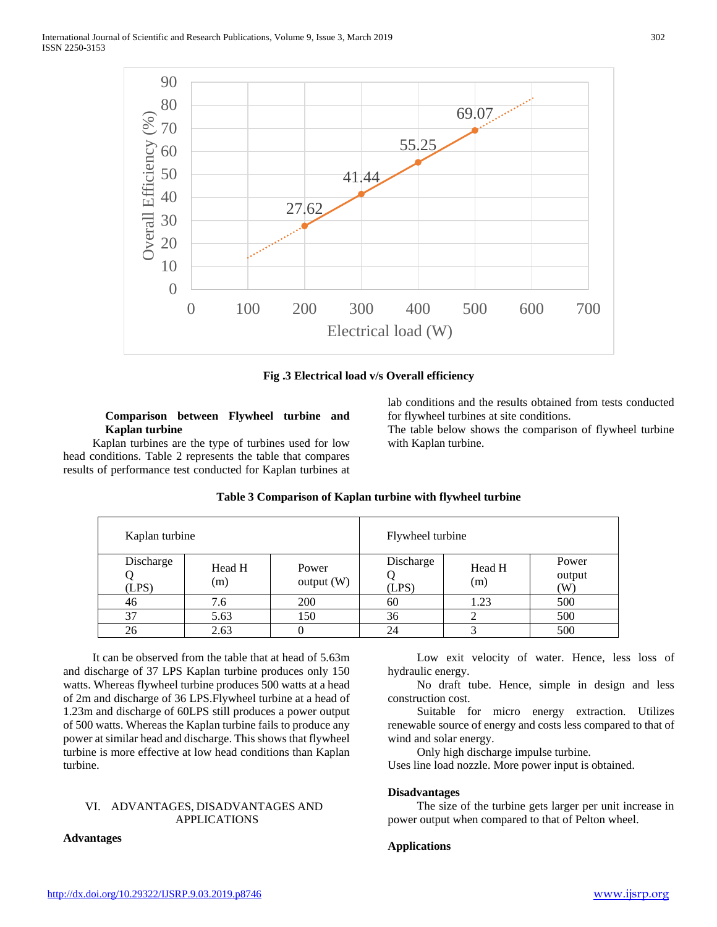

**Fig .3 Electrical load v/s Overall efficiency**

## **Comparison between Flywheel turbine and Kaplan turbine**

 Kaplan turbines are the type of turbines used for low head conditions. Table 2 represents the table that compares results of performance test conducted for Kaplan turbines at

> Kaplan turbine Flywheel turbine Discharge Q (LPS) Head H (m) Power output (W) Discharge Q (LPS) Head H (m) Power output (W) 46 | 7.6 | 200 | 60 | 1.23 | 500 37 | 5.63 | 150 | 36 | 2 | 500 26 | 2.63 | 0 | 24 | 3 | 500

## **Table 3 Comparison of Kaplan turbine with flywheel turbine**

 It can be observed from the table that at head of 5.63m and discharge of 37 LPS Kaplan turbine produces only 150 watts. Whereas flywheel turbine produces 500 watts at a head of 2m and discharge of 36 LPS.Flywheel turbine at a head of 1.23m and discharge of 60LPS still produces a power output of 500 watts. Whereas the Kaplan turbine fails to produce any power at similar head and discharge. This shows that flywheel turbine is more effective at low head conditions than Kaplan turbine.

#### VI. ADVANTAGES, DISADVANTAGES AND APPLICATIONS

## **Advantages**

 Low exit velocity of water. Hence, less loss of hydraulic energy.

lab conditions and the results obtained from tests conducted

The table below shows the comparison of flywheel turbine

for flywheel turbines at site conditions.

with Kaplan turbine.

 No draft tube. Hence, simple in design and less construction cost.

 Suitable for micro energy extraction. Utilizes renewable source of energy and costs less compared to that of wind and solar energy.

Only high discharge impulse turbine.

Uses line load nozzle. More power input is obtained.

#### **Disadvantages**

 The size of the turbine gets larger per unit increase in power output when compared to that of Pelton wheel.

## **Applications**